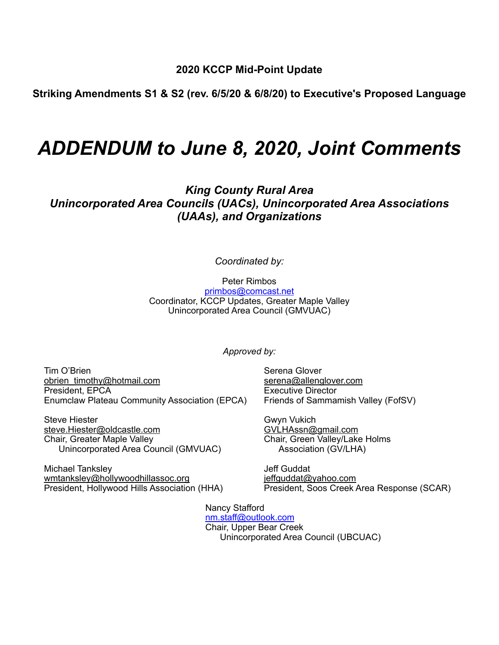**2020 KCCP Mid-Point Update** 

**Striking Amendments S1 & S2 (rev. 6/5/20 & 6/8/20) to Executive's Proposed Language** 

# *ADDENDUM to June 8, 2020, Joint Comments*

*King County Rural Area Unincorporated Area Councils (UACs), Unincorporated Area Associations (UAAs), and Organizations* 

*Coordinated by:* 

Peter Rimbos [primbos@comcast.net](mailto:primbos@comcast.net) Coordinator, KCCP Updates, Greater Maple Valley Unincorporated Area Council (GMVUAC)

*Approved by:* 

Tim O'Brien Serena Glover [obrien\\_timothy@hotmail.com](mailto:obrien_timothy@hotmail.com) [serena@allenglover.com](mailto:serena@allenglover.com) serenament serenament serenament serenament services of the<br>
President, EPCA services and services services services in the service of the service of the service of the s Enumclaw Plateau Community Association (EPCA)

Steve Hiester Gwyn Vukich [steve.Hiester@oldcastle.com](mailto:steve.Hiester@oldcastle.com)<br>Chair, Greater Maple Valley Unincorporated Area Council (GMVUAC)

Michael Tanksley **All and Struth Controller and Struth America** Jeff Guddat [wmtanksley@hollywoodhillassoc.org](mailto:wmtanksley@hollywoodhillassoc.org) in the leffguddat@yahoo.com<br>President, Hollywood Hills Association (HHA) President, Soos Creek

Executive Director<br>Friends of Sammamish Valley (FofSV)

Chair, Green Valley/Lake Holms<br>Association (GV/LHA)

President, Soos Creek Area Response (SCAR)

 Nancy Stafford [nm.staff@outlook.com](mailto:nm.staff@outlook.com) Chair, Upper Bear Creek Unincorporated Area Council (UBCUAC)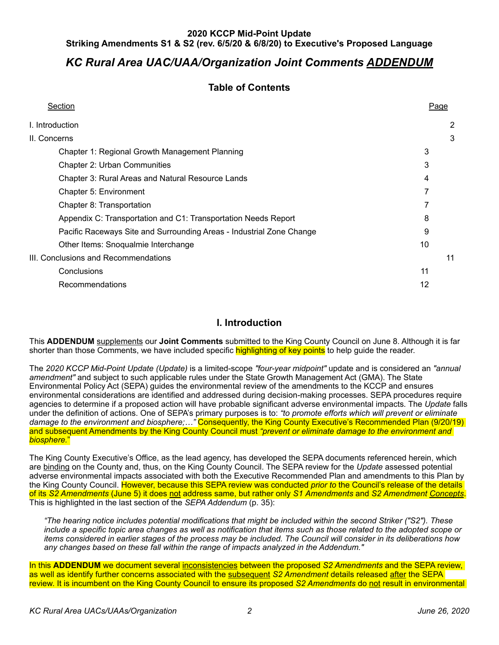# *KC Rural Area UAC/UAA/Organization Joint Comments ADDENDUM*

# **Table of Contents**

| Section                                                              | Page |    |
|----------------------------------------------------------------------|------|----|
| I. Introduction                                                      |      | 2  |
| II. Concerns                                                         |      | 3  |
| Chapter 1: Regional Growth Management Planning                       | 3    |    |
| <b>Chapter 2: Urban Communities</b>                                  | 3    |    |
| <b>Chapter 3: Rural Areas and Natural Resource Lands</b>             | 4    |    |
| Chapter 5: Environment                                               | 7    |    |
| Chapter 8: Transportation                                            |      |    |
| Appendix C: Transportation and C1: Transportation Needs Report       | 8    |    |
| Pacific Raceways Site and Surrounding Areas - Industrial Zone Change | 9    |    |
| Other Items: Snoqualmie Interchange                                  | 10   |    |
| III. Conclusions and Recommendations                                 |      | 11 |
| Conclusions                                                          | 11   |    |
| Recommendations                                                      | 12   |    |

### <span id="page-1-0"></span>**I. Introduction**

This **ADDENDUM** supplements our **Joint Comments** submitted to the King County Council on June 8. Although it is far shorter than those Comments, we have included specific highlighting of key points to help quide the reader.

The *2020 KCCP Mid-Point Update (Update)* is a limited-scope *"four-year midpoint"* update and is considered an *"annual amendment"* and subject to such applicable rules under the State Growth Management Act (GMA). The State Environmental Policy Act (SEPA) guides the environmental review of the amendments to the KCCP and ensures environmental considerations are identified and addressed during decision-making processes. SEPA procedures require agencies to determine if a proposed action will have probable significant adverse environmental impacts*.* The *Update* falls under the definition of actions. One of SEPA's primary purposes is to: *"to promote efforts which will prevent or eliminate damage to the environment and biosphere;…"* Consequently, the King County Executive's Recommended Plan (9/20/19) and subsequent Amendments by the King County Council must *"prevent or eliminate damage to the environment and biosphere.*"

The King County Executive's Office, as the lead agency, has developed the SEPA documents referenced herein, which are binding on the County and, thus, on the King County Council. The SEPA review for the *Update* assessed potential adverse environmental impacts associated with both the Executive Recommended Plan and amendments to this Plan by the King County Council. However, because this SEPA review was conducted *prior to* the Council's release of the details of its *S2 Amendments* (June 5) it does not address same, but rather only *S1 Amendments* and *S2 Amendment Concepts*. This is highlighted in the last section of the *SEPA Addendum* (p. 35):

*"The hearing notice includes potential modifications that might be included within the second Striker ("S2"). These include a specific topic area changes as well as notification that items such as those related to the adopted scope or items considered in earlier stages of the process may be included. The Council will consider in its deliberations how any changes based on these fall within the range of impacts analyzed in the Addendum."*

In this **ADDENDUM** we document several inconsistencies between the proposed *S2 Amendments* and the SEPA review, as well as identify further concerns associated with the subsequent *S2 Amendment* details released after the SEPA review. It is incumbent on the King County Council to ensure its proposed *S2 Amendments* do not result in environmental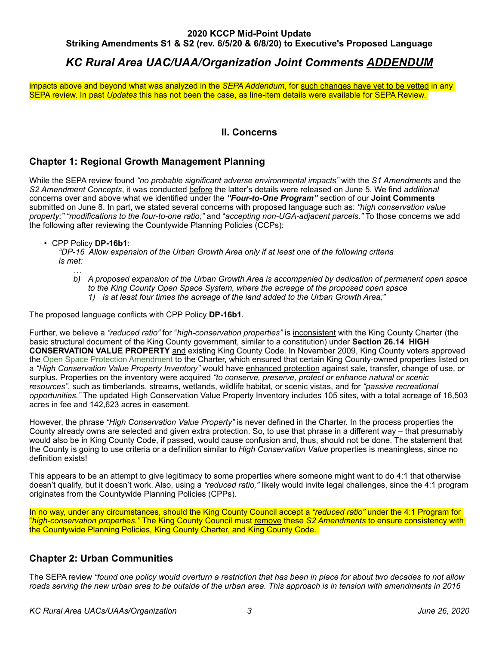# *KC Rural Area UAC/UAA/Organization Joint Comments ADDENDUM*

impacts above and beyond what was analyzed in the *SEPA Addendum*, for such changes have yet to be vetted in any SEPA review. In past *Updates* this has not been the case, as line-item details were available for SEPA Review.

### <span id="page-2-0"></span>**II. Concerns**

## <span id="page-2-1"></span>**Chapter 1: Regional Growth Management Planning**

While the SEPA review found *"no probable significant adverse environmental impacts"* with the *S1 Amendments* and the *S2 Amendment Concepts*, it was conducted before the latter's details were released on June 5. We find *additional* concerns over and above what we identified under the *"Four-to-One Program"* section of our **Joint Comments** submitted on June 8. In part, we stated several concerns with proposed language such as: *"high conservation value property;" "modifications to the four-to-one ratio;"* and "*accepting non-UGA-adjacent parcels."* To those concerns we add the following after reviewing the Countywide Planning Policies (CCPs):

• CPP Policy **DP-16b1**:

*"DP-16 Allow expansion of the Urban Growth Area only if at least one of the following criteria is met:* 

- *… b) A proposed expansion of the Urban Growth Area is accompanied by dedication of permanent open space to the King County Open Space System, where the acreage of the proposed open space* 
	- *1) is at least four times the acreage of the land added to the Urban Growth Area;"*

The proposed language conflicts with CPP Policy **DP-16b1**.

Further, we believe a *"reduced ratio"* for "*high-conservation properties"* is inconsistent with the King County Charter (the basic structural document of the King County government, similar to a constitution) under **Section 26.14 HIGH CONSERVATION VALUE PROPERTY** and existing King County Code. In November 2009, King County voters approved the [Open Space Protection Amendment](https://www.kingcounty.gov/council/news/2009/July/openspace.aspx) to the Charter, which ensured that certain King County-owned properties listed on a *"High Conservation Value Property Inventory"* would have enhanced protection against sale, transfer, change of use, or surplus. Properties on the inventory were acquired *"to conserve, preserve, protect or enhance natural or scenic resources"*, such as timberlands, streams, wetlands, wildlife habitat, or scenic vistas, and for *"passive recreational opportunities."* The updated High Conservation Value Property Inventory includes 105 sites, with a total acreage of 16,503 acres in fee and 142,623 acres in easement.

However, the phrase *"High Conservation Value Property"* is never defined in the Charter. In the process properties the County already owns are selected and given extra protection. So, to use that phrase in a different way – that presumably would also be in King County Code, if passed, would cause confusion and, thus, should not be done. The statement that the County is going to use criteria or a definition similar to *High Conservation Value* properties is meaningless, since no definition exists!

This appears to be an attempt to give legitimacy to some properties where someone might want to do 4:1 that otherwise doesn't qualify, but it doesn't work. Also, using a *"reduced ratio,"* likely would invite legal challenges, since the 4:1 program originates from the Countywide Planning Policies (CPPs).

In no way, under any circumstances, should the King County Council accept a *"reduced ratio"* under the 4:1 Program for "*high-conservation properties."* The King County Council must remove these *S2 Amendments* to ensure consistency with the Countywide Planning Policies, King County Charter, and King County Code.

## <span id="page-2-2"></span>**Chapter 2: Urban Communities**

The SEPA review *"found one policy would overturn a restriction that has been in place for about two decades to not allow roads serving the new urban area to be outside of the urban area. This approach is in tension with amendments in 2016*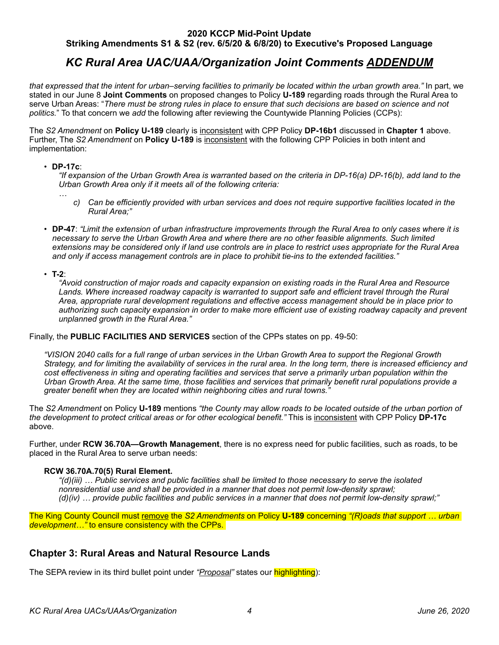# *KC Rural Area UAC/UAA/Organization Joint Comments ADDENDUM*

*that expressed that the intent for urban–serving facilities to primarily be located within the urban growth area."* In part, we stated in our June 8 **Joint Comments** on proposed changes to Policy **U-189** regarding roads through the Rural Area to serve Urban Areas: "*There must be strong rules in place to ensure that such decisions are based on science and not politics.*" To that concern we *add* the following after reviewing the Countywide Planning Policies (CCPs):

The *S2 Amendment* on **Policy U-189** clearly is inconsistent with CPP Policy **DP-16b1** discussed in **Chapter 1** above. Further, The *S2 Amendment* on **Policy U-189** is inconsistent with the following CPP Policies in both intent and implementation:

#### • **DP-17c**:

*"If expansion of the Urban Growth Area is warranted based on the criteria in DP-16(a) DP-16(b), add land to the Urban Growth Area only if it meets all of the following criteria:* 

- *… c) Can be efficiently provided with urban services and does not require supportive facilities located in the Rural Area;"*
- **DP-47**: *"Limit the extension of urban infrastructure improvements through the Rural Area to only cases where it is necessary to serve the Urban Growth Area and where there are no other feasible alignments. Such limited extensions may be considered only if land use controls are in place to restrict uses appropriate for the Rural Area and only if access management controls are in place to prohibit tie-ins to the extended facilities."*

• **T-2**:

*"Avoid construction of major roads and capacity expansion on existing roads in the Rural Area and Resource*  Lands. Where increased roadway capacity is warranted to support safe and efficient travel through the Rural *Area, appropriate rural development regulations and effective access management should be in place prior to authorizing such capacity expansion in order to make more efficient use of existing roadway capacity and prevent unplanned growth in the Rural Area."* 

Finally, the **PUBLIC FACILITIES AND SERVICES** section of the CPPs states on pp. 49-50:

*"VISION 2040 calls for a full range of urban services in the Urban Growth Area to support the Regional Growth Strategy, and for limiting the availability of services in the rural area. In the long term, there is increased efficiency and cost effectiveness in siting and operating facilities and services that serve a primarily urban population within the Urban Growth Area. At the same time, those facilities and services that primarily benefit rural populations provide a greater benefit when they are located within neighboring cities and rural towns."* 

The *S2 Amendment* on Policy **U-189** mentions *"the County may allow roads to be located outside of the urban portion of the development to protect critical areas or for other ecological benefit."* This is inconsistent with CPP Policy **DP-17c** above.

Further, under **RCW 36.70A—Growth Management**, there is no express need for public facilities, such as roads, to be placed in the Rural Area to serve urban needs:

#### **RCW 36.70A.70(5) Rural Element.**

*"(d)(iii) … Public services and public facilities shall be limited to those necessary to serve the isolated nonresidential use and shall be provided in a manner that does not permit low-density sprawl; (d)(iv) … provide public facilities and public services in a manner that does not permit low-density sprawl;"* 

The King County Council must remove the *S2 Amendments* on Policy **U-189** concerning *"(R)oads that support … urban development…"* to ensure consistency with the CPPs.

## <span id="page-3-0"></span>**Chapter 3: Rural Areas and Natural Resource Lands**

The SEPA review in its third bullet point under *"Proposal"* states our highlighting):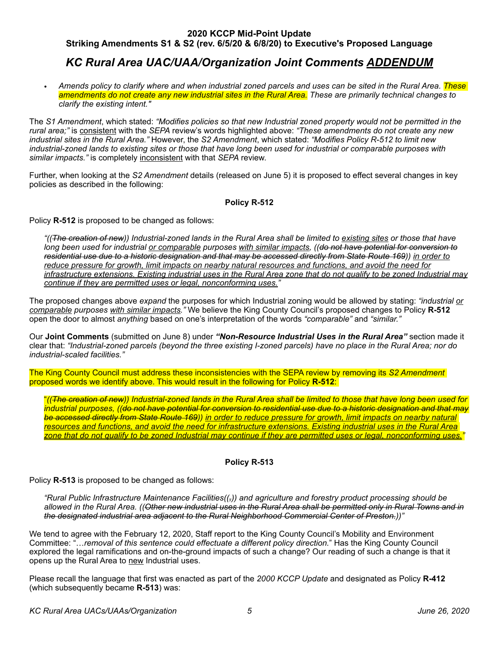# *KC Rural Area UAC/UAA/Organization Joint Comments ADDENDUM*

*• Amends policy to clarify where and when industrial zoned parcels and uses can be sited in the Rural Area. These amendments do not create any new industrial sites in the Rural Area. These are primarily technical changes to clarify the existing intent."*

The *S1 Amendment*, which stated: *"Modifies policies so that new Industrial zoned property would not be permitted in the rural area;"* is consistent with the *SEPA* review's words highlighted above: *"These amendments do not create any new industrial sites in the Rural Area."* However, the *S2 Amendment*, which stated: *"Modifies Policy R-512 to limit new industrial-zoned lands to existing sites or those that have long been used for industrial or comparable purposes with similar impacts."* is completely inconsistent with that *SEPA* review.

Further, when looking at the *S2 Amendment* details (released on June 5) it is proposed to effect several changes in key policies as described in the following:

#### **Policy R-512**

Policy **R-512** is proposed to be changed as follows:

*"((The creation of new)) Industrial-zoned lands in the Rural Area shall be limited to existing sites or those that have long been used for industrial or comparable purposes with similar impacts, ((do not have potential for conversion to residential use due to a historic designation and that may be accessed directly from State Route 169)) in order to reduce pressure for growth, limit impacts on nearby natural resources and functions, and avoid the need for infrastructure extensions. Existing industrial uses in the Rural Area zone that do not qualify to be zoned Industrial may continue if they are permitted uses or legal, nonconforming uses."*

The proposed changes above *expand* the purposes for which Industrial zoning would be allowed by stating: *"industrial or comparable purposes with similar impacts."* We believe the King County Council's proposed changes to Policy **R-512** open the door to almost *anything* based on one's interpretation of the words *"comparable"* and *"similar."*

Our **Joint Comments** (submitted on June 8) under *"Non-Resource Industrial Uses in the Rural Area"* section made it clear that: *"Industrial-zoned parcels (beyond the three existing I-zoned parcels) have no place in the Rural Area; nor do industrial-scaled facilities."* 

The King County Council must address these inconsistencies with the SEPA review by removing its *S2 Amendment*  proposed words we identify above. This would result in the following for Policy **R-512**:

"*((The creation of new)) Industrial-zoned lands in the Rural Area shall be limited to those that have long been used for industrial purposes, ((do not have potential for conversion to residential use due to a historic designation and that may*  **be accessed directly from State Route 169)) in order to reduce pressure for growth, limit impacts on nearby natural** *resources and functions, and avoid the need for infrastructure extensions. Existing industrial uses in the Rural Area zone that do not qualify to be zoned Industrial may continue if they are permitted uses or legal, nonconforming uses."*

### **Policy R-513**

Policy **R-513** is proposed to be changed as follows:

*"Rural Public Infrastructure Maintenance Facilities((,)) and agriculture and forestry product processing should be allowed in the Rural Area. ((Other new industrial uses in the Rural Area shall be permitted only in Rural Towns and in the designated industrial area adjacent to the Rural Neighborhood Commercial Center of Preston.))"*

We tend to agree with the February 12, 2020, Staff report to the King County Council's Mobility and Environment Committee: "…*removal of this sentence could effectuate a different policy direction.*" Has the King County Council explored the legal ramifications and on-the-ground impacts of such a change? Our reading of such a change is that it opens up the Rural Area to new Industrial uses.

Please recall the language that first was enacted as part of the *2000 KCCP Update* and designated as Policy **R-412** (which subsequently became **R-513**) was: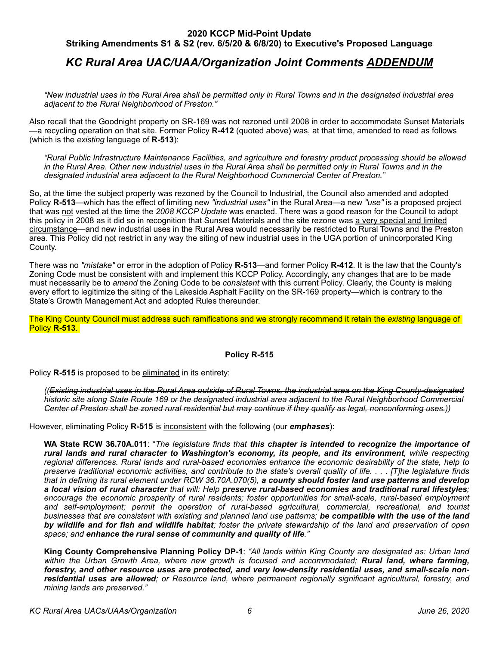# *KC Rural Area UAC/UAA/Organization Joint Comments ADDENDUM*

*"New industrial uses in the Rural Area shall be permitted only in Rural Towns and in the designated industrial area adjacent to the Rural Neighborhood of Preston."*

Also recall that the Goodnight property on SR-169 was not rezoned until 2008 in order to accommodate Sunset Materials —a recycling operation on that site. Former Policy **R-412** (quoted above) was, at that time, amended to read as follows (which is the *existing* language of **R-513**):

*"Rural Public Infrastructure Maintenance Facilities, and agriculture and forestry product processing should be allowed in the Rural Area. Other new industrial uses in the Rural Area shall be permitted only in Rural Towns and in the designated industrial area adjacent to the Rural Neighborhood Commercial Center of Preston."*

So, at the time the subject property was rezoned by the Council to Industrial, the Council also amended and adopted Policy **R-513**—which has the effect of limiting new *"industrial uses"* in the Rural Area—a new *"use"* is a proposed project that was not vested at the time the *2008 KCCP Update* was enacted. There was a good reason for the Council to adopt this policy in 2008 as it did so in recognition that Sunset Materials and the site rezone was a very special and limited circumstance—and new industrial uses in the Rural Area would necessarily be restricted to Rural Towns and the Preston area. This Policy did not restrict in any way the siting of new industrial uses in the UGA portion of unincorporated King County.

There was no *"mistake"* or error in the adoption of Policy **R-513**—and former Policy **R-412**. It is the law that the County's Zoning Code must be consistent with and implement this KCCP Policy. Accordingly, any changes that are to be made must necessarily be to *amend* the Zoning Code to be *consistent* with this current Policy. Clearly, the County is making every effort to legitimize the siting of the Lakeside Asphalt Facility on the SR-169 property—which is contrary to the State's Growth Management Act and adopted Rules thereunder.

The King County Council must address such ramifications and we strongly recommend it retain the *existing* language of Policy **R-513**.

#### **Policy R-515**

Policy **R-515** is proposed to be eliminated in its entirety:

*((Existing industrial uses in the Rural Area outside of Rural Towns, the industrial area on the King County-designated historic site along State Route 169 or the designated industrial area adjacent to the Rural Neighborhood Commercial Center of Preston shall be zoned rural residential but may continue if they qualify as legal, nonconforming uses.))*

However, eliminating Policy **R-515** is inconsistent with the following (our *emphases*):

**WA State RCW 36.70A.011**: "*The legislature finds that this chapter is intended to recognize the importance of rural lands and rural character to Washington's economy, its people, and its environment, while respecting regional differences. Rural lands and rural-based economies enhance the economic desirability of the state, help to preserve traditional economic activities, and contribute to the state's overall quality of life. . . . [T]he legislature finds that in defining its rural element under RCW 36.70A.070(5), a county should foster land use patterns and develop a local vision of rural character that will: Help preserve rural-based economies and traditional rural lifestyles; encourage the economic prosperity of rural residents; foster opportunities for small-scale, rural-based employment and self-employment; permit the operation of rural-based agricultural, commercial, recreational, and tourist businesses that are consistent with existing and planned land use patterns; be compatible with the use of the land by wildlife and for fish and wildlife habitat; foster the private stewardship of the land and preservation of open space; and enhance the rural sense of community and quality of life."*

**King County Comprehensive Planning Policy DP-1**: *"All lands within King County are designated as: Urban land*  within the Urban Growth Area, where new growth is focused and accommodated; **Rural land, where farming,** *forestry, and other resource uses are protected, and very low-density residential uses, and small-scale nonresidential uses are allowed; or Resource land, where permanent regionally significant agricultural, forestry, and mining lands are preserved."*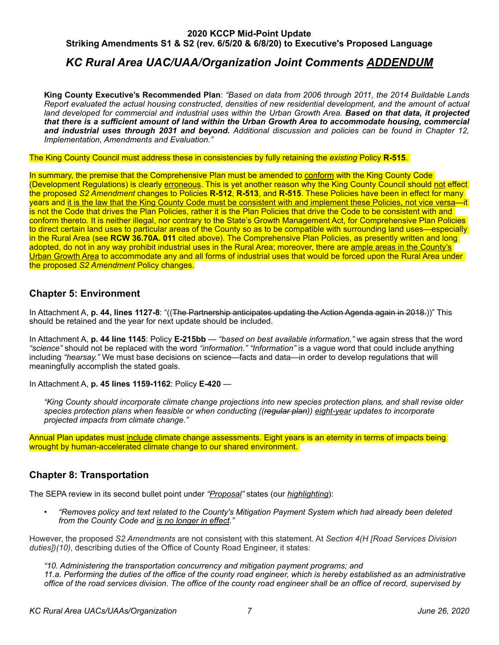# *KC Rural Area UAC/UAA/Organization Joint Comments ADDENDUM*

**King County Executive's Recommended Plan**: *"Based on data from 2006 through 2011, the 2014 Buildable Lands Report evaluated the actual housing constructed, densities of new residential development, and the amount of actual land developed for commercial and industrial uses within the Urban Growth Area. Based on that data, it projected that there is a sufficient amount of land within the Urban Growth Area to accommodate housing, commercial and industrial uses through 2031 and beyond. Additional discussion and policies can be found in Chapter 12, Implementation, Amendments and Evaluation."*

#### The King County Council must address these in consistencies by fully retaining the *existing* Policy **R-515**.

In summary, the premise that the Comprehensive Plan must be amended to conform with the King County Code (Development Regulations) is clearly erroneous. This is yet another reason why the King County Council should not effect the proposed *S2 Amendment* changes to Policies **R-512**, **R-513**, and **R-515**. These Policies have been in effect for many years and it is the law that the King County Code must be consistent with and implement these Policies, not vice versa—it is not the Code that drives the Plan Policies, rather it is the Plan Policies that drive the Code to be consistent with and conform thereto. It is neither illegal, nor contrary to the State's Growth Management Act, for Comprehensive Plan Policies to direct certain land uses to particular areas of the County so as to be compatible with surrounding land uses—especially in the Rural Area (see **RCW 36.70A. 011** cited above). The Comprehensive Plan Policies, as presently written and long adopted, do not in any way prohibit industrial uses in the Rural Area; moreover, there are ample areas in the County's Urban Growth Area to accommodate any and all forms of industrial uses that would be forced upon the Rural Area under the proposed *S2 Amendment* Policy changes.

### <span id="page-6-0"></span>**Chapter 5: Environment**

In Attachment A, **p. 44, lines 1127-8**: "((The Partnership anticipates updating the Action Agenda again in 2018.))" This should be retained and the year for next update should be included.

In Attachment A, **p. 44 line 1145**: Policy **E-215bb** — *"based on best available information,"* we again stress that the word *"science"* should not be replaced with the word *"information." "Information"* is a vague word that could include anything including *"hearsay."* We must base decisions on science—facts and data—in order to develop regulations that will meaningfully accomplish the stated goals.

In Attachment A, **p. 45 lines 1159-1162**: Policy **E-420** —

*"King County should incorporate climate change projections into new species protection plans, and shall revise older species protection plans when feasible or when conducting ((regular plan)) eight-year updates to incorporate projected impacts from climate change."* 

Annual Plan updates must include climate change assessments. Eight years is an eternity in terms of impacts being wrought by human-accelerated climate change to our shared environment.

### <span id="page-6-1"></span>**Chapter 8: Transportation**

The SEPA review in its second bullet point under *"Proposal"* states (our *highlighting*):

• *"Removes policy and text related to the County's Mitigation Payment System which had already been deleted from the County Code and is no longer in effect."*

However, the proposed S2 Amendments are not consistent with this statement. At Section 4(H [Road Services Division *duties])(10)*, describing duties of the Office of County Road Engineer, it states:

*"10. Administering the transportation concurrency and mitigation payment programs; and 11.a. Performing the duties of the office of the county road engineer, which is hereby established as an administrative office of the road services division. The office of the county road engineer shall be an office of record, supervised by*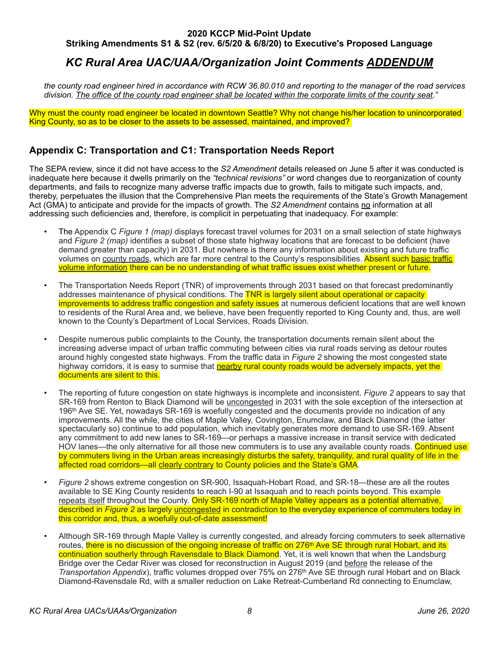# *KC Rural Area UAC/UAA/Organization Joint Comments ADDENDUM*

*the county road engineer hired in accordance with RCW 36.80.010 and reporting to the manager of the road services division. The office of the county road engineer shall be located within the corporate limits of the county seat."*

Why must the county road engineer be located in downtown Seattle? Why not change his/her location to unincorporated King County, so as to be closer to the assets to be assessed, maintained, and improved?

### <span id="page-7-0"></span>**Appendix C: Transportation and C1: Transportation Needs Report**

The SEPA review, since it did not have access to the *S2 Amendment* details released on June 5 after it was conducted is inadequate here because it dwells primarily on the *"technical revisions"* or word changes due to reorganization of county departments, and fails to recognize many adverse traffic impacts due to growth, fails to mitigate such impacts, and, thereby, perpetuates the illusion that the Comprehensive Plan meets the requirements of the State's Growth Management Act (GMA) to anticipate and provide for the impacts of growth. The *S2 Amendment* contains no information at all addressing such deficiencies and, therefore, is complicit in perpetuating that inadequacy. For example:

- The Appendix C *Figure 1 (map)* displays forecast travel volumes for 2031 on a small selection of state highways and *Figure 2 (map)* identifies a subset of those state highway locations that are forecast to be deficient (have demand greater than capacity) in 2031. But nowhere is there any information about existing and future traffic volumes on county roads, which are far more central to the County's responsibilities. Absent such basic traffic volume information there can be no understanding of what traffic issues exist whether present or future.
- The Transportation Needs Report (TNR) of improvements through 2031 based on that forecast predominantly addresses maintenance of physical conditions. The TNR is largely silent about operational or capacity improvements to address traffic congestion and safety issues at numerous deficient locations that are well known to residents of the Rural Area and, we believe, have been frequently reported to King County and, thus, are well known to the County's Department of Local Services, Roads Division.
- Despite numerous public complaints to the County, the transportation documents remain silent about the increasing adverse impact of urban traffic commuting between cities via rural roads serving as detour routes around highly congested state highways. From the traffic data in *Figure 2* showing the most congested state highway corridors, it is easy to surmise that **nearby rural county roads would be adversely impacts, yet the** documents are silent to this.
- The reporting of future congestion on state highways is incomplete and inconsistent. *Figure 2* appears to say that SR-169 from Renton to Black Diamond will be uncongested in 2031 with the sole exception of the intersection at 196th Ave SE. Yet, nowadays SR-169 is woefully congested and the documents provide no indication of any improvements. All the while, the cities of Maple Valley, Covington, Enumclaw, and Black Diamond (the latter spectacularly so) continue to add population, which inevitably generates more demand to use SR-169. Absent any commitment to add new lanes to SR-169—or perhaps a massive increase in transit service with dedicated HOV lanes—the only alternative for all those new commuters is to use any available county roads. Continued use by commuters living in the Urban areas increasingly disturbs the safety, tranquility, and rural quality of life in the affected road corridors—all clearly contrary to County policies and the State's GMA.
- *Figure 2* shows extreme congestion on SR-900, Issaquah-Hobart Road, and SR-18—these are all the routes available to SE King County residents to reach I-90 at Issaquah and to reach points beyond. This example repeats itself throughout the County. Only SR-169 north of Maple Valley appears as a potential alternative, described in *Figure 2* as largely uncongested in contradiction to the everyday experience of commuters today in this corridor and, thus, a woefully out-of-date assessment!
- Although SR-169 through Maple Valley is currently congested, and already forcing commuters to seek alternative routes, there is no discussion of the ongoing increase of traffic on 276<sup>th</sup> Ave SE through rural Hobart, and its continuation southerly through Ravensdale to Black Diamond. Yet, it is well known that when the Landsburg Bridge over the Cedar River was closed for reconstruction in August 2019 (and before the release of the *Transportation Appendix*), traffic volumes dropped over 75% on 276th Ave SE through rural Hobart and on Black Diamond-Ravensdale Rd, with a smaller reduction on Lake Retreat-Cumberland Rd connecting to Enumclaw,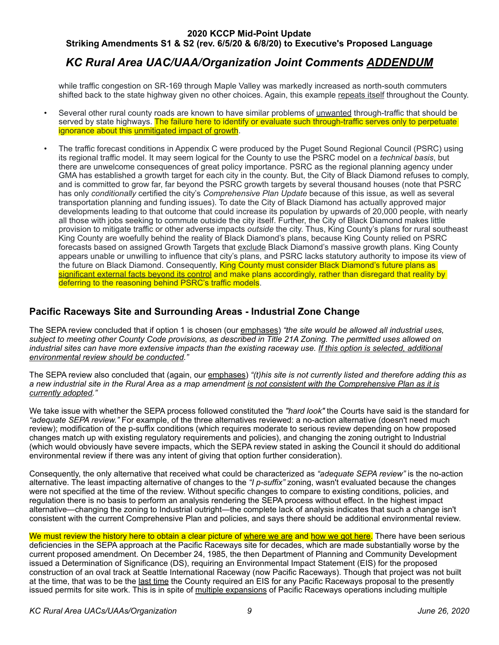# *KC Rural Area UAC/UAA/Organization Joint Comments ADDENDUM*

while traffic congestion on SR-169 through Maple Valley was markedly increased as north-south commuters shifted back to the state highway given no other choices. Again, this example repeats itself throughout the County.

- Several other rural county roads are known to have similar problems of unwanted through-traffic that should be served by state highways. The failure here to identify or evaluate such through-traffic serves only to perpetuate ignorance about this unmitigated impact of growth.
- The traffic forecast conditions in Appendix C were produced by the Puget Sound Regional Council (PSRC) using its regional traffic model. It may seem logical for the County to use the PSRC model on a *technical basis*, but there are unwelcome consequences of great policy importance. PSRC as the regional planning agency under GMA has established a growth target for each city in the county. But, the City of Black Diamond refuses to comply, and is committed to grow far, far beyond the PSRC growth targets by several thousand houses (note that PSRC has only *conditionally* certified the city's *Comprehensive Plan Update* because of this issue, as well as several transportation planning and funding issues). To date the City of Black Diamond has actually approved major developments leading to that outcome that could increase its population by upwards of 20,000 people, with nearly all those with jobs seeking to commute outside the city itself. Further, the City of Black Diamond makes little provision to mitigate traffic or other adverse impacts *outside* the city. Thus, King County's plans for rural southeast King County are woefully behind the reality of Black Diamond's plans, because King County relied on PSRC forecasts based on assigned Growth Targets that exclude Black Diamond's massive growth plans. King County appears unable or unwilling to influence that city's plans, and PSRC lacks statutory authority to impose its view of the future on Black Diamond. Consequently, King County must consider Black Diamond's future plans as significant external facts beyond its control and make plans accordingly, rather than disregard that reality by deferring to the reasoning behind PSRC's traffic models.

## <span id="page-8-0"></span>**Pacific Raceways Site and Surrounding Areas - Industrial Zone Change**

The SEPA review concluded that if option 1 is chosen (our emphases) *"the site would be allowed all industrial uses, subject to meeting other County Code provisions, as described in Title 21A Zoning. The permitted uses allowed on industrial sites can have more extensive impacts than the existing raceway use. If this option is selected, additional environmental review should be conducted."*

The SEPA review also concluded that (again, our emphases) *"(t)his site is not currently listed and therefore adding this as a new industrial site in the Rural Area as a map amendment is not consistent with the Comprehensive Plan as it is currently adopted."*

We take issue with whether the SEPA process followed constituted the *"hard look"* the Courts have said is the standard for *"adequate SEPA review."* For example, of the three alternatives reviewed: a no-action alternative (doesn't need much review); modification of the p-suffix conditions (which requires moderate to serious review depending on how proposed changes match up with existing regulatory requirements and policies), and changing the zoning outright to Industrial (which would obviously have severe impacts, which the SEPA review stated in asking the Council it should do additional environmental review if there was any intent of giving that option further consideration).

Consequently, the only alternative that received what could be characterized as *"adequate SEPA review"* is the no-action alternative. The least impacting alternative of changes to the *"I p-suffix"* zoning, wasn't evaluated because the changes were not specified at the time of the review. Without specific changes to compare to existing conditions, policies, and regulation there is no basis to perform an analysis rendering the SEPA process without effect. In the highest impact alternative—changing the zoning to Industrial outright—the complete lack of analysis indicates that such a change isn't consistent with the current Comprehensive Plan and policies, and says there should be additional environmental review.

We must review the history here to obtain a clear picture of where we are and how we got here. There have been serious deficiencies in the SEPA approach at the Pacific Raceways site for decades, which are made substantially worse by the current proposed amendment. On December 24, 1985, the then Department of Planning and Community Development issued a Determination of Significance (DS), requiring an Environmental Impact Statement (EIS) for the proposed construction of an oval track at Seattle International Raceway (now Pacific Raceways). Though that project was not built at the time, that was to be the last time the County required an EIS for any Pacific Raceways proposal to the presently issued permits for site work. This is in spite of multiple expansions of Pacific Raceways operations including multiple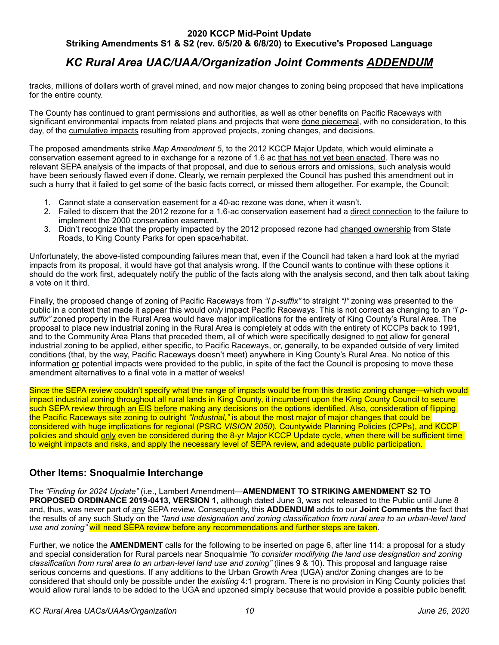# *KC Rural Area UAC/UAA/Organization Joint Comments ADDENDUM*

tracks, millions of dollars worth of gravel mined, and now major changes to zoning being proposed that have implications for the entire county.

The County has continued to grant permissions and authorities, as well as other benefits on Pacific Raceways with significant environmental impacts from related plans and projects that were done piecemeal, with no consideration, to this day, of the cumulative impacts resulting from approved projects, zoning changes, and decisions.

The proposed amendments strike *Map Amendment 5*, to the 2012 KCCP Major Update, which would eliminate a conservation easement agreed to in exchange for a rezone of 1.6 ac that has not yet been enacted. There was no relevant SEPA analysis of the impacts of that proposal, and due to serious errors and omissions, such analysis would have been seriously flawed even if done. Clearly, we remain perplexed the Council has pushed this amendment out in such a hurry that it failed to get some of the basic facts correct, or missed them altogether. For example, the Council;

- 1. Cannot state a conservation easement for a 40-ac rezone was done, when it wasn't.
- 2. Failed to discern that the 2012 rezone for a 1.6-ac conservation easement had a direct connection to the failure to implement the 2000 conservation easement.
- 3. Didn't recognize that the property impacted by the 2012 proposed rezone had changed ownership from State Roads, to King County Parks for open space/habitat.

Unfortunately, the above-listed compounding failures mean that, even if the Council had taken a hard look at the myriad impacts from its proposal, it would have got that analysis wrong. If the Council wants to continue with these options it should do the work first, adequately notify the public of the facts along with the analysis second, and then talk about taking a vote on it third.

Finally, the proposed change of zoning of Pacific Raceways from *"I p-suffix"* to straight *"I"* zoning was presented to the public in a context that made it appear this would *only* impact Pacific Raceways. This is not correct as changing to an *"I psuffix"* zoned property in the Rural Area would have major implications for the entirety of King County's Rural Area. The proposal to place new industrial zoning in the Rural Area is completely at odds with the entirety of KCCPs back to 1991, and to the Community Area Plans that preceded them, all of which were specifically designed to not allow for general industrial zoning to be applied, either specific, to Pacific Raceways, or, generally, to be expanded outside of very limited conditions (that, by the way, Pacific Raceways doesn't meet) anywhere in King County's Rural Area. No notice of this information or potential impacts were provided to the public, in spite of the fact the Council is proposing to move these amendment alternatives to a final vote in a matter of weeks!

Since the SEPA review couldn't specify what the range of impacts would be from this drastic zoning change—which would impact industrial zoning throughout all rural lands in King County, it incumbent upon the King County Council to secure such SEPA review through an EIS before making any decisions on the options identified. Also, consideration of flipping the Pacific Raceways site zoning to outright *"Industrial,"* is about the most major of major changes that could be considered with huge implications for regional (PSRC *VISION 2050*), Countywide Planning Policies (CPPs), and KCCP policies and should only even be considered during the 8-yr Major KCCP Update cycle, when there will be sufficient time to weight impacts and risks, and apply the necessary level of SEPA review, and adequate public participation.

## <span id="page-9-0"></span>**Other Items: Snoqualmie Interchange**

The *"Finding for 2024 Update"* (i.e., Lambert Amendment—**AMENDMENT TO STRIKING AMENDMENT S2 TO PROPOSED ORDINANCE 2019-0413, VERSION 1**, although dated June 3, was not released to the Public until June 8 and, thus, was never part of any SEPA review. Consequently, this **ADDENDUM** adds to our **Joint Comments** the fact that the results of any such Study on the *"land use designation and zoning classification from rural area to an urban-level land use and zoning"* will need SEPA review before any recommendations and further steps are taken.

Further, we notice the **AMENDMENT** calls for the following to be inserted on page 6, after line 114: a proposal for a study and special consideration for Rural parcels near Snoqualmie *"to consider modifying the land use designation and zoning classification from rural area to an urban-level land use and zoning"* (lines 9 & 10). This proposal and language raise serious concerns and questions. If any additions to the Urban Growth Area (UGA) and/or Zoning changes are to be considered that should only be possible under the *existing* 4:1 program. There is no provision in King County policies that would allow rural lands to be added to the UGA and upzoned simply because that would provide a possible public benefit.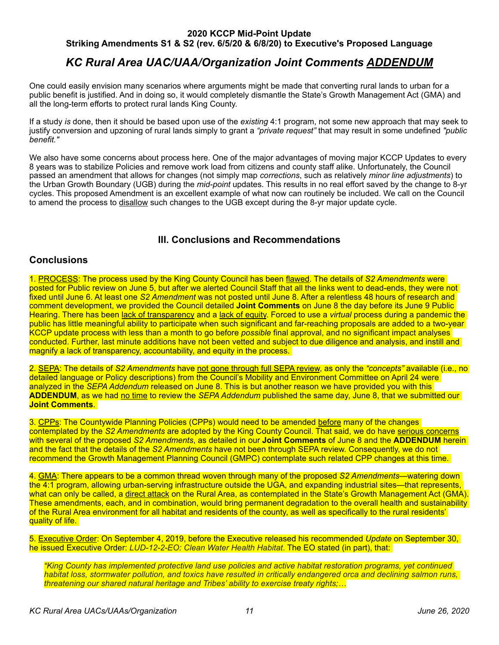# *KC Rural Area UAC/UAA/Organization Joint Comments ADDENDUM*

One could easily envision many scenarios where arguments might be made that converting rural lands to urban for a public benefit is justified. And in doing so, it would completely dismantle the State's Growth Management Act (GMA) and all the long-term efforts to protect rural lands King County.

If a study *is* done, then it should be based upon use of the *existing* 4:1 program, not some new approach that may seek to justify conversion and upzoning of rural lands simply to grant a *"private request"* that may result in some undefined *"public benefit."*

We also have some concerns about process here. One of the major advantages of moving major KCCP Updates to every 8 years was to stabilize Policies and remove work load from citizens and county staff alike. Unfortunately, the Council passed an amendment that allows for changes (not simply map *corrections*, such as relatively *minor line adjustments*) to the Urban Growth Boundary (UGB) during the *mid-point* updates. This results in no real effort saved by the change to 8-yr cycles. This proposed Amendment is an excellent example of what now can routinely be included. We call on the Council to amend the process to disallow such changes to the UGB except during the 8-yr major update cycle.

## <span id="page-10-0"></span>**III. Conclusions and Recommendations**

### <span id="page-10-1"></span>**Conclusions**

1. PROCESS: The process used by the King County Council has been flawed. The details of *S2 Amendments* were posted for Public review on June 5, but after we alerted Council Staff that all the links went to dead-ends, they were not fixed until June 6. At least one *S2 Amendment* was not posted until June 8. After a relentless 48 hours of research and comment development, we provided the Council detailed **Joint Comments** on June 8 the day before its June 9 Public Hearing. There has been lack of transparency and a lack of equity. Forced to use a *virtual* process during a pandemic the public has little meaningful ability to participate when such significant and far-reaching proposals are added to a two-year KCCP update process with less than a month to go before *possible* final approval, and no significant impact analyses conducted. Further, last minute additions have not been vetted and subject to due diligence and analysis, and instill and magnify a lack of transparency, accountability, and equity in the process.

2. SEPA: The details of *S2 Amendments* have not gone through full SEPA review, as only the *"concepts"* available (i.e., no detailed language or Policy descriptions) from the Council's Mobility and Environment Committee on April 24 were analyzed in the *SEPA Addendum* released on June 8. This is but another reason we have provided you with this **ADDENDUM**, as we had no time to review the *SEPA Addendum* published the same day, June 8, that we submitted our **Joint Comments**.

3. CPPs: The Countywide Planning Policies (CPPs) would need to be amended before many of the changes contemplated by the *S2 Amendments* are adopted by the King County Council. That said, we do have serious concerns with several of the proposed *S2 Amendments*, as detailed in our **Joint Comments** of June 8 and the **ADDENDUM** herein and the fact that the details of the *S2 Amendments* have not been through SEPA review. Consequently, we do not recommend the Growth Management Planning Council (GMPC) contemplate such related CPP changes at this time.

4. GMA: There appears to be a common thread woven through many of the proposed *S2 Amendments*—watering down the 4:1 program, allowing urban-serving infrastructure outside the UGA, and expanding industrial sites—that represents, what can only be called, a direct attack on the Rural Area, as contemplated in the State's Growth Management Act (GMA). These amendments, each, and in combination, would bring permanent degradation to the overall health and sustainability of the Rural Area environment for all habitat and residents of the county, as well as specifically to the rural residents' quality of life.

5. Executive Order: On September 4, 2019, before the Executive released his recommended *Update* on September 30, he issued Executive Order: *LUD-12-2-EO: Clean Water Health Habitat*. The EO stated (in part), that:

*"King County has implemented protective land use policies and active habitat restoration programs, yet continued habitat loss, stormwater pollution, and toxics have resulted in critically endangered orca and declining salmon runs, threatening our shared natural heritage and Tribes' ability to exercise treaty rights;…*